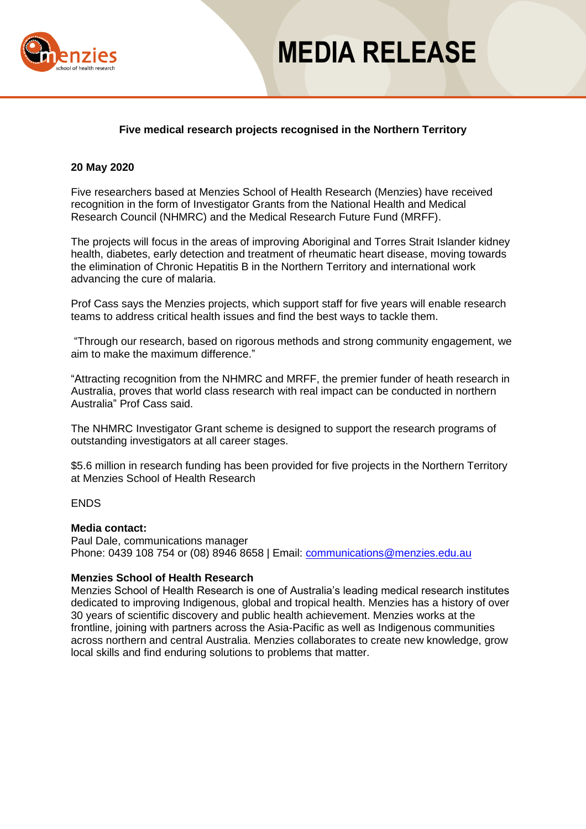

# **MEDIA RELEASE**

## **Five medical research projects recognised in the Northern Territory**

#### **20 May 2020**

Five researchers based at Menzies School of Health Research (Menzies) have received recognition in the form of Investigator Grants from the National Health and Medical Research Council (NHMRC) and the Medical Research Future Fund (MRFF).

The projects will focus in the areas of improving Aboriginal and Torres Strait Islander kidney health, diabetes, early detection and treatment of rheumatic heart disease, moving towards the elimination of Chronic Hepatitis B in the Northern Territory and international work advancing the cure of malaria.

Prof Cass says the Menzies projects, which support staff for five years will enable research teams to address critical health issues and find the best ways to tackle them.

"Through our research, based on rigorous methods and strong community engagement, we aim to make the maximum difference."

"Attracting recognition from the NHMRC and MRFF, the premier funder of heath research in Australia, proves that world class research with real impact can be conducted in northern Australia" Prof Cass said.

The NHMRC Investigator Grant scheme is designed to support the research programs of outstanding investigators at all career stages.

\$5.6 million in research funding has been provided for five projects in the Northern Territory at Menzies School of Health Research

#### **ENDS**

#### **Media contact:**

Paul Dale, communications manager Phone: 0439 108 754 or (08) 8946 8658 | Email: [communications@menzies.edu.au](mailto:communications@menzies.edu.au)

#### **Menzies School of Health Research**

Menzies School of Health Research is one of Australia's leading medical research institutes dedicated to improving Indigenous, global and tropical health. Menzies has a history of over 30 years of scientific discovery and public health achievement. Menzies works at the frontline, joining with partners across the Asia-Pacific as well as Indigenous communities across northern and central Australia. Menzies collaborates to create new knowledge, grow local skills and find enduring solutions to problems that matter.